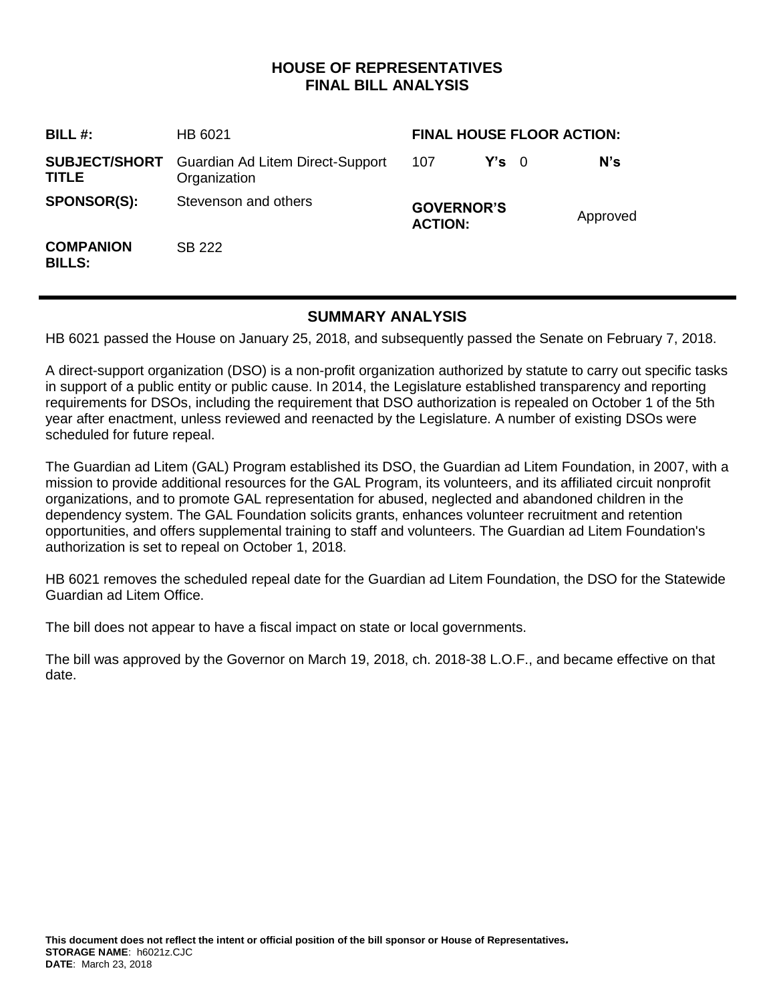# **HOUSE OF REPRESENTATIVES FINAL BILL ANALYSIS**

| BILL#:                            | HB 6021                                                               | <b>FINAL HOUSE FLOOR ACTION:</b>    |               |  |          |
|-----------------------------------|-----------------------------------------------------------------------|-------------------------------------|---------------|--|----------|
| <b>TITLE</b>                      | <b>SUBJECT/SHORT</b> Guardian Ad Litem Direct-Support<br>Organization | 107                                 | $Y's \quad 0$ |  | N's      |
| <b>SPONSOR(S):</b>                | Stevenson and others                                                  | <b>GOVERNOR'S</b><br><b>ACTION:</b> |               |  | Approved |
| <b>COMPANION</b><br><b>BILLS:</b> | SB 222                                                                |                                     |               |  |          |

## **SUMMARY ANALYSIS**

HB 6021 passed the House on January 25, 2018, and subsequently passed the Senate on February 7, 2018.

A direct-support organization (DSO) is a non-profit organization authorized by statute to carry out specific tasks in support of a public entity or public cause. In 2014, the Legislature established transparency and reporting requirements for DSOs, including the requirement that DSO authorization is repealed on October 1 of the 5th year after enactment, unless reviewed and reenacted by the Legislature. A number of existing DSOs were scheduled for future repeal.

The Guardian ad Litem (GAL) Program established its DSO, the Guardian ad Litem Foundation, in 2007, with a mission to provide additional resources for the GAL Program, its volunteers, and its affiliated circuit nonprofit organizations, and to promote GAL representation for abused, neglected and abandoned children in the dependency system. The GAL Foundation solicits grants, enhances volunteer recruitment and retention opportunities, and offers supplemental training to staff and volunteers. The Guardian ad Litem Foundation's authorization is set to repeal on October 1, 2018.

HB 6021 removes the scheduled repeal date for the Guardian ad Litem Foundation, the DSO for the Statewide Guardian ad Litem Office.

The bill does not appear to have a fiscal impact on state or local governments.

The bill was approved by the Governor on March 19, 2018, ch. 2018-38 L.O.F., and became effective on that date.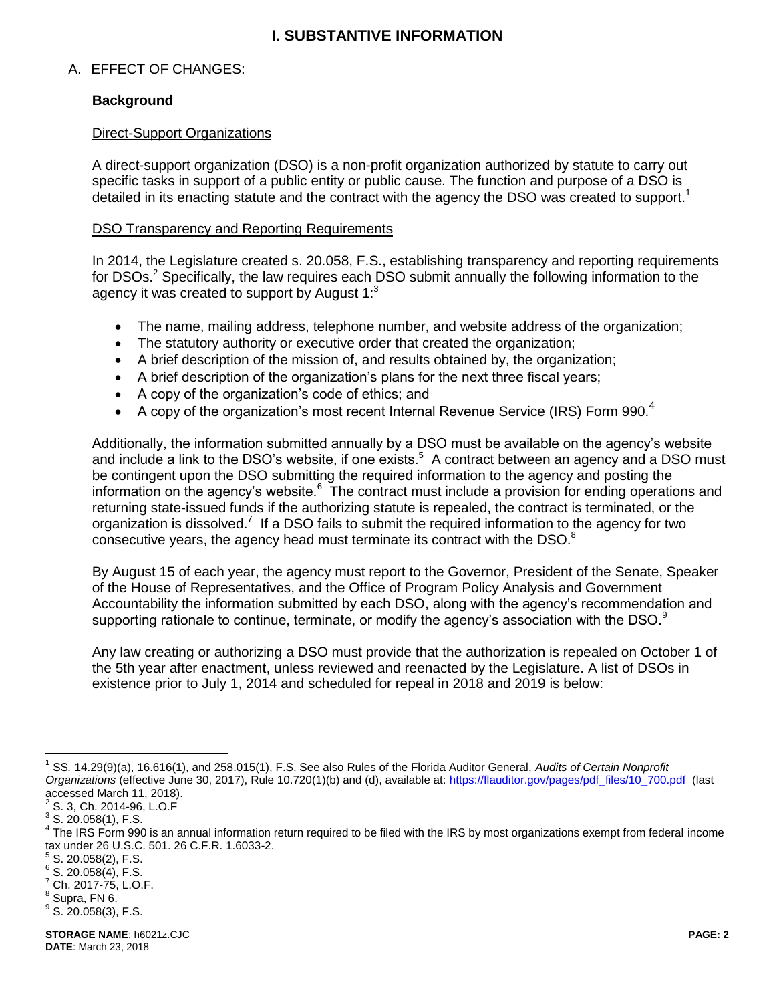## <span id="page-1-1"></span>**I. SUBSTANTIVE INFORMATION**

## A. EFFECT OF CHANGES:

## **Background**

#### Direct-Support Organizations

A direct-support organization (DSO) is a non-profit organization authorized by statute to carry out specific tasks in support of a public entity or public cause. The function and purpose of a DSO is detailed in its enacting statute and the contract with the agency the DSO was created to support.<sup>1</sup>

#### DSO Transparency and Reporting Requirements

<span id="page-1-0"></span>In 2014, the Legislature created s. 20.058, F.S., establishing transparency and reporting requirements for DSOs.<sup>2</sup> Specifically, the law requires each DSO submit annually the following information to the agency it was created to support by August  $1$ :<sup>3</sup>

- The name, mailing address, telephone number, and website address of the organization;
- The statutory authority or executive order that created the organization;
- A brief description of the mission of, and results obtained by, the organization;
- A brief description of the organization's plans for the next three fiscal years;
- A copy of the organization's code of ethics; and
- A copy of the organization's most recent Internal Revenue Service (IRS) Form 990.<sup>4</sup>

Additionally, the information submitted annually by a DSO must be available on the agency's website and include a link to the DSO's website, if one exists.<sup>5</sup> A contract between an agency and a DSO must be contingent upon the DSO submitting the required information to the agency and posting the information on the agency's website.<sup>6</sup> The contract must include a provision for ending operations and returning state-issued funds if the authorizing statute is repealed, the contract is terminated, or the organization is dissolved.<sup>7</sup> If a DSO fails to submit the required information to the agency for two consecutive years, the agency head must terminate its contract with the DSO.<sup>8</sup>

By August 15 of each year, the agency must report to the Governor, President of the Senate, Speaker of the House of Representatives, and the Office of Program Policy Analysis and Government Accountability the information submitted by each DSO, along with the agency's recommendation and supporting rationale to continue, terminate, or modify the agency's association with the DSO.<sup>9</sup>

Any law creating or authorizing a DSO must provide that the authorization is repealed on October 1 of the 5th year after enactment, unless reviewed and reenacted by the Legislature. A list of DSOs in existence prior to July 1, 2014 and scheduled for repeal in 2018 and 2019 is below:

 $\overline{a}$ 

<sup>1</sup> SS*.* 14.29(9)(a), 16.616(1), and 258.015(1), F.S. See also Rules of the Florida Auditor General, *Audits of Certain Nonprofit Organizations* (effective June 30, 2017), Rule 10.720(1)(b) and (d), available at: [https://flauditor.gov/pages/pdf\\_files/10\\_700.pdf](https://flauditor.gov/pages/pdf_files/10_700.pdf) (last accessed March 11, 2018).

 $2^2$  S. 3, Ch. 2014-96, L.O.F

 $3$  S. 20.058(1), F.S.

<sup>&</sup>lt;sup>4</sup> The IRS Form 990 is an annual information return required to be filed with the IRS by most organizations exempt from federal income tax under 26 U.S.C. 501. 26 C.F.R. 1.6033-2.

 $5$  S. 20.058(2), F.S.

 $6$  S. 20.058(4), F.S.

 $7$  Ch. 2017-75, L.O.F.

 $<sup>8</sup>$  Supra, FN 6.</sup>  $^9$  S. 20.058(3), F.S.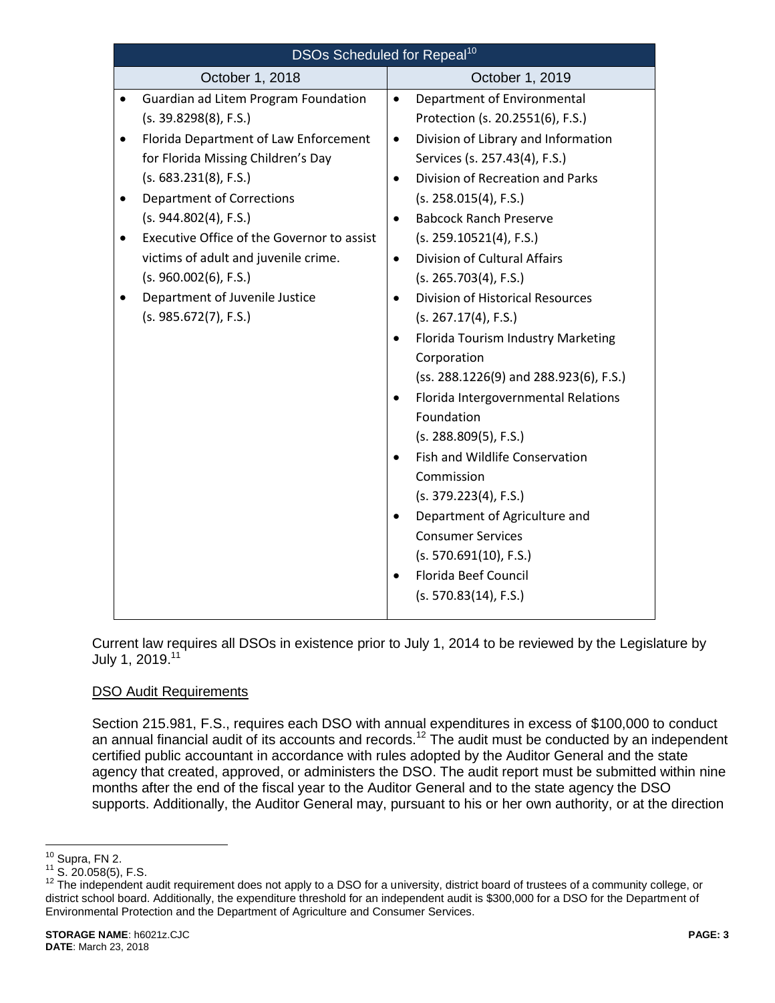| <b>DSOs Scheduled for Repeal<sup>10</sup></b>                                                                                                                                                                                                                                                                                                                                                                             |                                                                                                                                                                                                                                                                                                                                                                                                                                                                                                                                                                                                                                                                                                                                                                          |  |  |  |  |
|---------------------------------------------------------------------------------------------------------------------------------------------------------------------------------------------------------------------------------------------------------------------------------------------------------------------------------------------------------------------------------------------------------------------------|--------------------------------------------------------------------------------------------------------------------------------------------------------------------------------------------------------------------------------------------------------------------------------------------------------------------------------------------------------------------------------------------------------------------------------------------------------------------------------------------------------------------------------------------------------------------------------------------------------------------------------------------------------------------------------------------------------------------------------------------------------------------------|--|--|--|--|
| October 1, 2018                                                                                                                                                                                                                                                                                                                                                                                                           | October 1, 2019                                                                                                                                                                                                                                                                                                                                                                                                                                                                                                                                                                                                                                                                                                                                                          |  |  |  |  |
| Guardian ad Litem Program Foundation<br>(s. 39.8298(8), F.S.)<br>Florida Department of Law Enforcement<br>for Florida Missing Children's Day<br>(s. 683.231(8), F.S.)<br><b>Department of Corrections</b><br>$\bullet$<br>(s. 944.802(4), F.S.)<br>Executive Office of the Governor to assist<br>victims of adult and juvenile crime.<br>(s. 960.002(6), F.S.)<br>Department of Juvenile Justice<br>(s. 985.672(7), F.S.) | Department of Environmental<br>$\bullet$<br>Protection (s. 20.2551(6), F.S.)<br>Division of Library and Information<br>$\bullet$<br>Services (s. 257.43(4), F.S.)<br>Division of Recreation and Parks<br>$\bullet$<br>(s. 258.015(4), F.S.)<br><b>Babcock Ranch Preserve</b><br>$\bullet$<br>(s. 259.10521(4), F.S.)<br><b>Division of Cultural Affairs</b><br>$\bullet$<br>(s. 265.703(4), F.S.)<br><b>Division of Historical Resources</b><br>$\bullet$<br>(s. 267.17(4), F.S.)<br>Florida Tourism Industry Marketing<br>Corporation<br>(ss. 288.1226(9) and 288.923(6), F.S.)<br>Florida Intergovernmental Relations<br>Foundation<br>(s. 288.809(5), F.S.)<br>Fish and Wildlife Conservation<br>Commission<br>(s. 379.223(4), F.S.)<br>Department of Agriculture and |  |  |  |  |
|                                                                                                                                                                                                                                                                                                                                                                                                                           | <b>Consumer Services</b><br>(s. 570.691(10), F.S.)<br>Florida Beef Council<br>(s. 570.83(14), F.S.)                                                                                                                                                                                                                                                                                                                                                                                                                                                                                                                                                                                                                                                                      |  |  |  |  |

Current law requires all DSOs in existence prior to July 1, 2014 to be reviewed by the Legislature by July 1, 2019.<sup>11</sup>

## DSO Audit Requirements

Section 215.981, F.S., requires each DSO with annual expenditures in excess of \$100,000 to conduct an annual financial audit of its accounts and records.<sup>12</sup> The audit must be conducted by an independent certified public accountant in accordance with rules adopted by the Auditor General and the state agency that created, approved, or administers the DSO. The audit report must be submitted within nine months after the end of the fiscal year to the Auditor General and to the state agency the DSO supports. Additionally, the Auditor General may, pursuant to his or her own authority, or at the direction

 $\overline{a}$  $10$  Supra, F[N 2.](#page-1-0)

 $11$  S. 20.058(5), F.S.

<sup>&</sup>lt;sup>12</sup> The independent audit requirement does not apply to a DSO for a university, district board of trustees of a community college, or district school board. Additionally, the expenditure threshold for an independent audit is \$300,000 for a DSO for the Department of Environmental Protection and the Department of Agriculture and Consumer Services.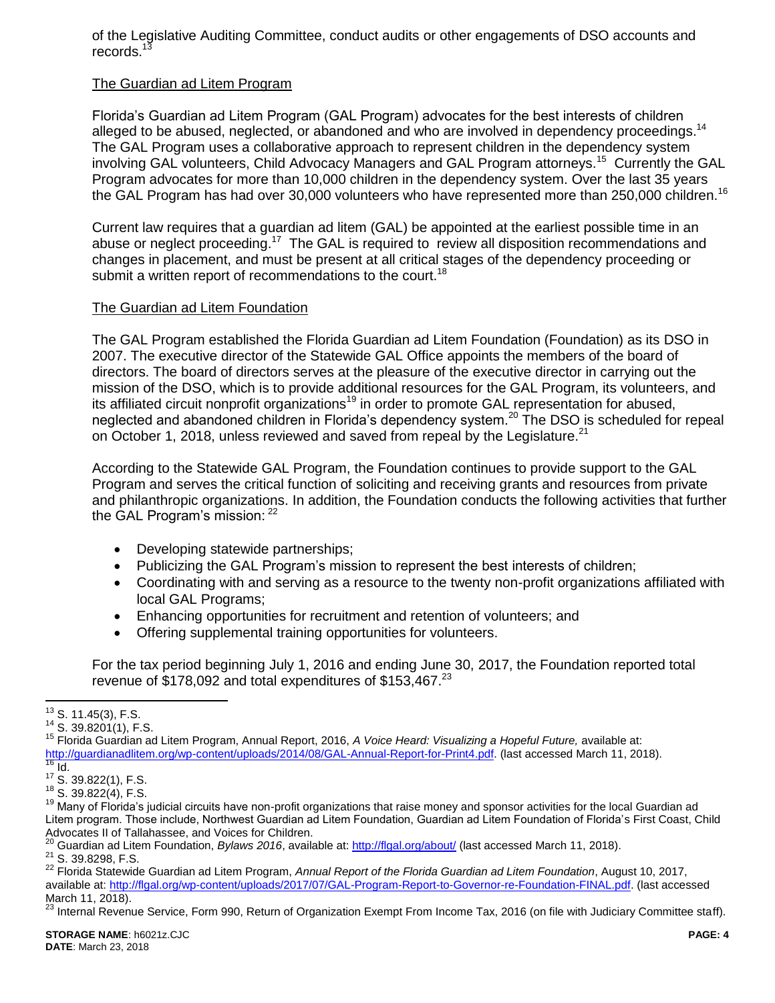of the Legislative Auditing Committee, conduct audits or other engagements of DSO accounts and records. $1$ 

#### The Guardian ad Litem Program

Florida's Guardian ad Litem Program (GAL Program) advocates for the best interests of children alleged to be abused, neglected, or abandoned and who are involved in dependency proceedings.<sup>14</sup> The GAL Program uses a collaborative approach to represent children in the dependency system involving GAL volunteers, Child Advocacy Managers and GAL Program attorneys.<sup>15</sup> Currently the GAL Program advocates for more than 10,000 children in the dependency system. Over the last 35 years the GAL Program has had over 30,000 volunteers who have represented more than 250,000 children.<sup>16</sup>

Current law requires that a guardian ad litem (GAL) be appointed at the earliest possible time in an abuse or neglect proceeding.<sup>17</sup> The GAL is required to review all disposition recommendations and changes in placement, and must be present at all critical stages of the dependency proceeding or submit a written report of recommendations to the court.<sup>18</sup>

#### The Guardian ad Litem Foundation

The GAL Program established the Florida Guardian ad Litem Foundation (Foundation) as its DSO in 2007. The executive director of the Statewide GAL Office appoints the members of the board of directors. The board of directors serves at the pleasure of the executive director in carrying out the mission of the DSO, which is to provide additional resources for the GAL Program, its volunteers, and its affiliated circuit nonprofit organizations<sup>19</sup> in order to promote GAL representation for abused, neglected and abandoned children in Florida's dependency system.<sup>20</sup> The DSO is scheduled for repeal on October 1, 2018, unless reviewed and saved from repeal by the Legislature.<sup>21</sup>

According to the Statewide GAL Program, the Foundation continues to provide support to the GAL Program and serves the critical function of soliciting and receiving grants and resources from private and philanthropic organizations. In addition, the Foundation conducts the following activities that further the GAL Program's mission: <sup>22</sup>

- Developing statewide partnerships;
- Publicizing the GAL Program's mission to represent the best interests of children;
- Coordinating with and serving as a resource to the twenty non-profit organizations affiliated with local GAL Programs;
- Enhancing opportunities for recruitment and retention of volunteers; and
- Offering supplemental training opportunities for volunteers.

For the tax period beginning July 1, 2016 and ending June 30, 2017, the Foundation reported total revenue of  $$178,092$  and total expenditures of  $$153,467<sup>23</sup>$ 

 $\overline{a}$ 

<sup>15</sup> Florida Guardian ad Litem Program, Annual Report, 2016, *A Voice Heard: Visualizing a Hopeful Future,* available at: [http://guardianadlitem.org/wp-content/uploads/2014/08/GAL-Annual-Report-for-Print4.pdf.](http://guardianadlitem.org/wp-content/uploads/2014/08/GAL-Annual-Report-for-Print4.pdf) (last accessed March 11, 2018).  $\frac{16}{16}$  Id.

 $13$  S. 11.45(3), F.S.

 $14$  S. 39.8201(1), F.S.

 $^{17}$  S. 39.822(1), F.S.

<sup>18</sup> S. 39.822(4), F.S.

<sup>&</sup>lt;sup>19</sup> Many of Florida's judicial circuits have non-profit organizations that raise money and sponsor activities for the local Guardian ad Litem program. Those include, Northwest Guardian ad Litem Foundation, Guardian ad Litem Foundation of Florida's First Coast, Child Advocates II of Tallahassee, and Voices for Children.

<sup>20</sup> Guardian ad Litem Foundation, *Bylaws 2016*, available at:<http://flgal.org/about/> (last accessed March 11, 2018). <sup>21</sup> S. 39.8298, F.S.

<sup>22</sup> Florida Statewide Guardian ad Litem Program, *Annual Report of the Florida Guardian ad Litem Foundation*, August 10, 2017, available at[: http://flgal.org/wp-content/uploads/2017/07/GAL-Program-Report-to-Governor-re-Foundation-FINAL.pdf.](http://flgal.org/wp-content/uploads/2017/07/GAL-Program-Report-to-Governor-re-Foundation-FINAL.pdf) (last accessed March 11, 2018).

<sup>&</sup>lt;sup>23</sup> Internal Revenue Service, Form 990, Return of Organization Exempt From Income Tax, 2016 (on file with Judiciary Committee staff).